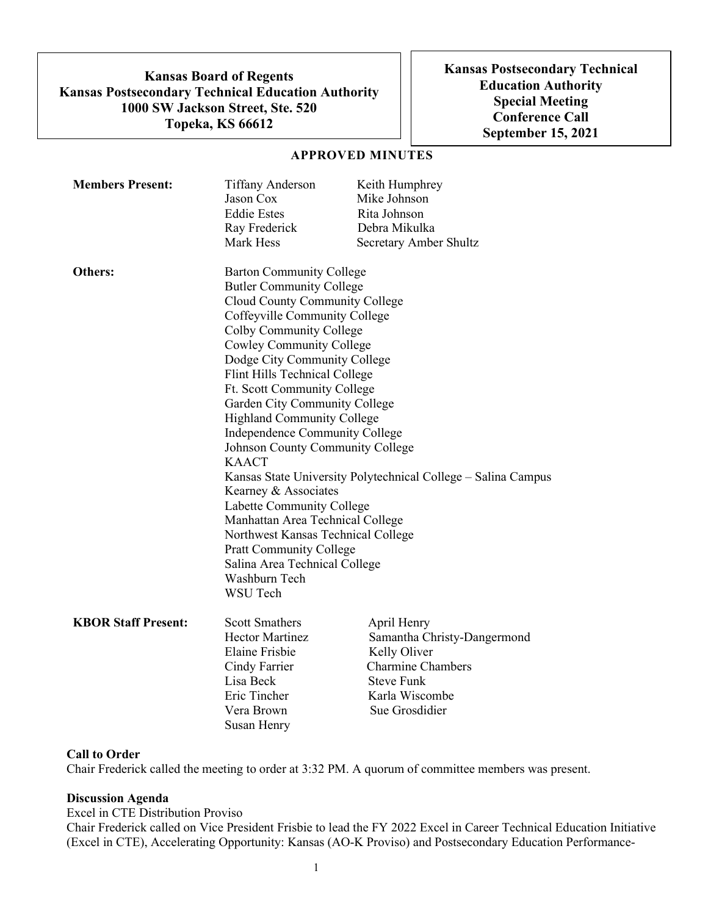**Kansas Board of Regents Kansas Postsecondary Technical Education Authority 1000 SW Jackson Street, Ste. 520 Topeka, KS 66612**

**Kansas Postsecondary Technical Education Authority Special Meeting Conference Call September 15, 2021**

### **APPROVED MINUTES**

| <b>Members Present:</b>    | <b>Tiffany Anderson</b><br>Jason Cox<br><b>Eddie Estes</b><br>Ray Frederick                                                                                                                                                                                                                                                                                                                                                                                                                                                                                                                                                                                                                                                       | Keith Humphrey<br>Mike Johnson<br>Rita Johnson<br>Debra Mikulka                                                                  |  |
|----------------------------|-----------------------------------------------------------------------------------------------------------------------------------------------------------------------------------------------------------------------------------------------------------------------------------------------------------------------------------------------------------------------------------------------------------------------------------------------------------------------------------------------------------------------------------------------------------------------------------------------------------------------------------------------------------------------------------------------------------------------------------|----------------------------------------------------------------------------------------------------------------------------------|--|
| Others:                    | Mark Hess<br>Secretary Amber Shultz<br><b>Barton Community College</b><br><b>Butler Community College</b><br>Cloud County Community College<br>Coffeyville Community College<br>Colby Community College<br>Cowley Community College<br>Dodge City Community College<br>Flint Hills Technical College<br>Ft. Scott Community College<br>Garden City Community College<br><b>Highland Community College</b><br>Independence Community College<br>Johnson County Community College<br><b>KAACT</b><br>Kansas State University Polytechnical College - Salina Campus<br>Kearney & Associates<br>Labette Community College<br>Manhattan Area Technical College<br>Northwest Kansas Technical College<br><b>Pratt Community College</b> |                                                                                                                                  |  |
| <b>KBOR Staff Present:</b> | Washburn Tech<br><b>WSU Tech</b><br><b>Scott Smathers</b>                                                                                                                                                                                                                                                                                                                                                                                                                                                                                                                                                                                                                                                                         | April Henry                                                                                                                      |  |
|                            | <b>Hector Martinez</b><br><b>Elaine Frisbie</b><br>Cindy Farrier<br>Lisa Beck<br>Eric Tincher<br>Vera Brown<br>Susan Henry                                                                                                                                                                                                                                                                                                                                                                                                                                                                                                                                                                                                        | Samantha Christy-Dangermond<br>Kelly Oliver<br><b>Charmine Chambers</b><br><b>Steve Funk</b><br>Karla Wiscombe<br>Sue Grosdidier |  |

#### **Call to Order**

Chair Frederick called the meeting to order at 3:32 PM. A quorum of committee members was present.

### **Discussion Agenda**

Excel in CTE Distribution Proviso

Chair Frederick called on Vice President Frisbie to lead the FY 2022 Excel in Career Technical Education Initiative (Excel in CTE), Accelerating Opportunity: Kansas (AO-K Proviso) and Postsecondary Education Performance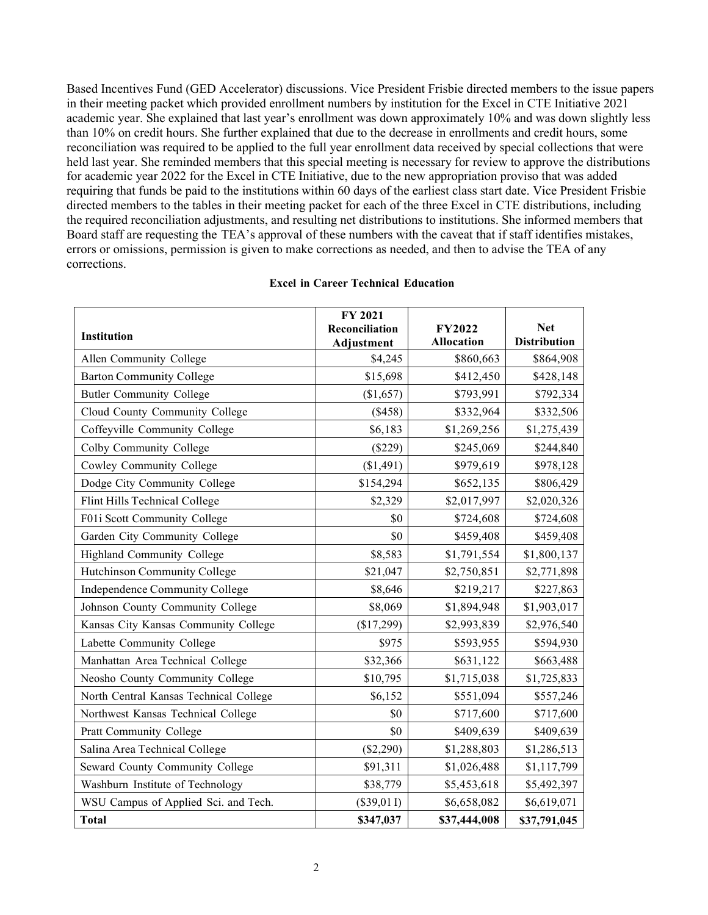Based Incentives Fund (GED Accelerator) discussions. Vice President Frisbie directed members to the issue papers in their meeting packet which provided enrollment numbers by institution for the Excel in CTE Initiative 2021 academic year. She explained that last year's enrollment was down approximately 10% and was down slightly less than 10% on credit hours. She further explained that due to the decrease in enrollments and credit hours, some reconciliation was required to be applied to the full year enrollment data received by special collections that were held last year. She reminded members that this special meeting is necessary for review to approve the distributions for academic year 2022 for the Excel in CTE Initiative, due to the new appropriation proviso that was added requiring that funds be paid to the institutions within 60 days of the earliest class start date. Vice President Frisbie directed members to the tables in their meeting packet for each of the three Excel in CTE distributions, including the required reconciliation adjustments, and resulting net distributions to institutions. She informed members that Board staff are requesting the TEA's approval of these numbers with the caveat that if staff identifies mistakes, errors or omissions, permission is given to make corrections as needed, and then to advise the TEA of any corrections.

|                                        | FY 2021           |                   |                     |
|----------------------------------------|-------------------|-------------------|---------------------|
| Institution                            | Reconciliation    | <b>FY2022</b>     | <b>Net</b>          |
|                                        | <b>Adjustment</b> | <b>Allocation</b> | <b>Distribution</b> |
| Allen Community College                | \$4,245           | \$860,663         | \$864,908           |
| <b>Barton Community College</b>        | \$15,698          | \$412,450         | \$428,148           |
| <b>Butler Community College</b>        | (\$1,657)         | \$793,991         | \$792,334           |
| Cloud County Community College         | (\$458)           | \$332,964         | \$332,506           |
| Coffeyville Community College          | \$6,183           | \$1,269,256       | \$1,275,439         |
| Colby Community College                | (\$229)           | \$245,069         | \$244,840           |
| Cowley Community College               | (\$1,491)         | \$979,619         | \$978,128           |
| Dodge City Community College           | \$154,294         | \$652,135         | \$806,429           |
| Flint Hills Technical College          | \$2,329           | \$2,017,997       | \$2,020,326         |
| F01i Scott Community College           | \$0               | \$724,608         | \$724,608           |
| Garden City Community College          | \$0               | \$459,408         | \$459,408           |
| Highland Community College             | \$8,583           | \$1,791,554       | \$1,800,137         |
| Hutchinson Community College           | \$21,047          | \$2,750,851       | \$2,771,898         |
| Independence Community College         | \$8,646           | \$219,217         | \$227,863           |
| Johnson County Community College       | \$8,069           | \$1,894,948       | \$1,903,017         |
| Kansas City Kansas Community College   | (\$17,299)        | \$2,993,839       | \$2,976,540         |
| Labette Community College              | \$975             | \$593,955         | \$594,930           |
| Manhattan Area Technical College       | \$32,366          | \$631,122         | \$663,488           |
| Neosho County Community College        | \$10,795          | \$1,715,038       | \$1,725,833         |
| North Central Kansas Technical College | \$6,152           | \$551,094         | \$557,246           |
| Northwest Kansas Technical College     | \$0               | \$717,600         | \$717,600           |
| <b>Pratt Community College</b>         | \$0               | \$409,639         | \$409,639           |
| Salina Area Technical College          | $(\$2,290)$       | \$1,288,803       | \$1,286,513         |
| Seward County Community College        | \$91,311          | \$1,026,488       | \$1,117,799         |
| Washburn Institute of Technology       | \$38,779          | \$5,453,618       | \$5,492,397         |
| WSU Campus of Applied Sci. and Tech.   | $(\$39,01]$       | \$6,658,082       | \$6,619,071         |
| <b>Total</b>                           | \$347,037         | \$37,444,008      | \$37,791,045        |

### **Excel in Career Technical Education**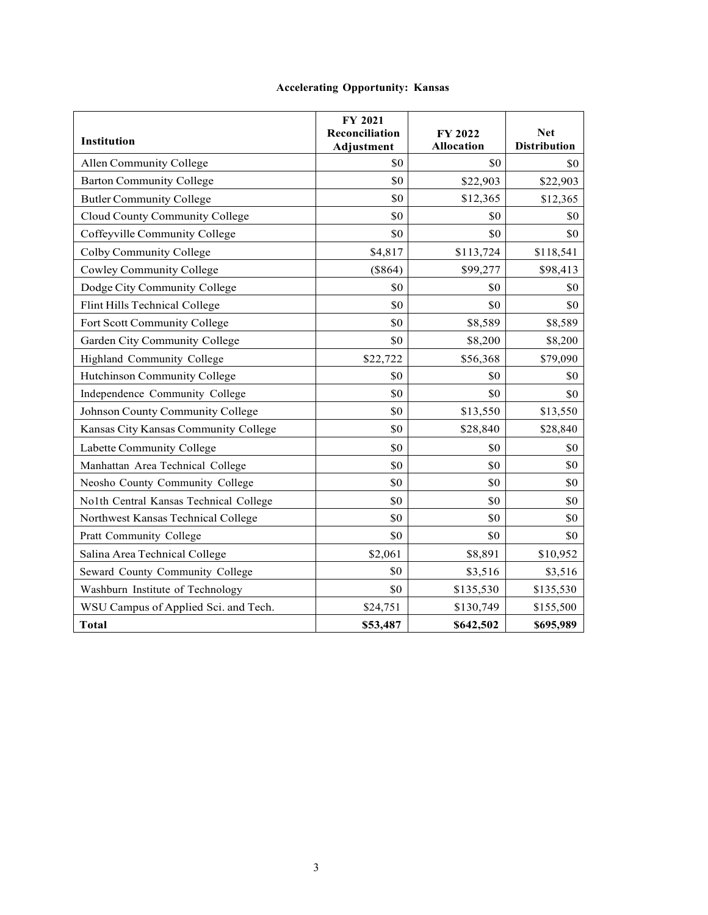| <b>Institution</b>                     | FY 2021<br>Reconciliation<br>Adjustment | FY 2022<br><b>Allocation</b> | <b>Net</b><br><b>Distribution</b> |
|----------------------------------------|-----------------------------------------|------------------------------|-----------------------------------|
| Allen Community College                | \$0                                     | \$0                          | \$0                               |
| <b>Barton Community College</b>        | \$0                                     | \$22,903                     | \$22,903                          |
| <b>Butler Community College</b>        | \$0                                     | \$12,365                     | \$12,365                          |
| Cloud County Community College         | \$0                                     | \$0                          | SO.                               |
| Coffeyville Community College          | \$0                                     | \$0                          | \$0                               |
| Colby Community College                | \$4,817                                 | \$113,724                    | \$118,541                         |
| Cowley Community College               | (\$864)                                 | \$99,277                     | \$98,413                          |
| Dodge City Community College           | \$0                                     | \$0                          | \$0                               |
| Flint Hills Technical College          | \$0                                     | \$0                          | \$0                               |
| Fort Scott Community College           | \$0                                     | \$8,589                      | \$8,589                           |
| Garden City Community College          | \$0                                     | \$8,200                      | \$8,200                           |
| Highland Community College             | \$22,722                                | \$56,368                     | \$79,090                          |
| Hutchinson Community College           | \$0                                     | \$0                          | \$0                               |
| Independence Community College         | \$0                                     | \$0                          | \$0                               |
| Johnson County Community College       | \$0                                     | \$13,550                     | \$13,550                          |
| Kansas City Kansas Community College   | \$0                                     | \$28,840                     | \$28,840                          |
| Labette Community College              | \$0                                     | \$0                          | \$0                               |
| Manhattan Area Technical College       | \$0                                     | \$0                          | \$0                               |
| Neosho County Community College        | \$0                                     | \$0                          | \$0                               |
| No1th Central Kansas Technical College | \$0                                     | \$0                          | \$0                               |
| Northwest Kansas Technical College     | \$0                                     | \$0                          | \$0                               |
| Pratt Community College                | \$0                                     | \$0                          | \$0                               |
| Salina Area Technical College          | \$2,061                                 | \$8,891                      | \$10,952                          |
| Seward County Community College        | \$0                                     | \$3,516                      | \$3,516                           |
| Washburn Institute of Technology       | \$0                                     | \$135,530                    | \$135,530                         |
| WSU Campus of Applied Sci. and Tech.   | \$24,751                                | \$130,749                    | \$155,500                         |
| <b>Total</b>                           | \$53,487                                | \$642,502                    | \$695,989                         |

# **Accelerating Opportunity: Kansas**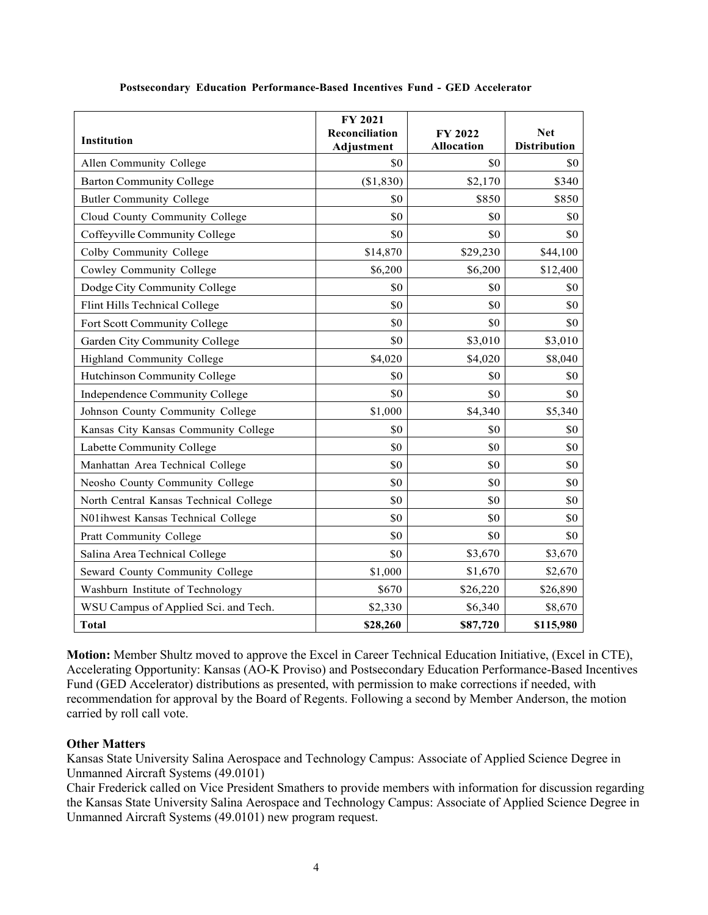| <b>Institution</b>                     | FY 2021<br>Reconciliation<br><b>Adjustment</b> | FY 2022<br><b>Allocation</b> | <b>Net</b><br><b>Distribution</b> |
|----------------------------------------|------------------------------------------------|------------------------------|-----------------------------------|
| Allen Community College                | \$0                                            | \$0                          | \$0                               |
| <b>Barton Community College</b>        | (\$1,830)                                      | \$2,170                      | \$340                             |
| <b>Butler Community College</b>        | \$0                                            | \$850                        | \$850                             |
| Cloud County Community College         | \$0                                            | \$0                          | \$0                               |
| Coffeyville Community College          | \$0                                            | \$0                          | \$0                               |
| Colby Community College                | \$14,870                                       | \$29,230                     | \$44,100                          |
| Cowley Community College               | \$6,200                                        | \$6,200                      | \$12,400                          |
| Dodge City Community College           | \$0                                            | \$0                          | \$0                               |
| Flint Hills Technical College          | \$0                                            | \$0                          | \$0                               |
| Fort Scott Community College           | \$0                                            | \$0                          | \$0                               |
| Garden City Community College          | \$0                                            | \$3,010                      | \$3,010                           |
| Highland Community College             | \$4,020                                        | \$4,020                      | \$8,040                           |
| Hutchinson Community College           | \$0                                            | \$0                          | \$0                               |
| Independence Community College         | \$0                                            | \$0                          | \$0                               |
| Johnson County Community College       | \$1,000                                        | \$4,340                      | \$5,340                           |
| Kansas City Kansas Community College   | \$0                                            | \$0                          | \$0                               |
| Labette Community College              | \$0                                            | \$0                          | \$0                               |
| Manhattan Area Technical College       | \$0                                            | \$0                          | \$0                               |
| Neosho County Community College        | \$0                                            | \$0                          | \$0                               |
| North Central Kansas Technical College | \$0                                            | \$0                          | \$0                               |
| N01ihwest Kansas Technical College     | \$0                                            | \$0                          | \$0                               |
| Pratt Community College                | \$0                                            | \$0                          | \$0                               |
| Salina Area Technical College          | \$0                                            | \$3,670                      | \$3,670                           |
| Seward County Community College        | \$1,000                                        | \$1,670                      | \$2,670                           |
| Washburn Institute of Technology       | \$670                                          | \$26,220                     | \$26,890                          |
| WSU Campus of Applied Sci. and Tech.   | \$2,330                                        | \$6,340                      | \$8,670                           |
| <b>Total</b>                           | \$28,260                                       | \$87,720                     | \$115,980                         |

### **Postsecondary Education Performance-Based Incentives Fund - GED Accelerator**

**Motion:** Member Shultz moved to approve the Excel in Career Technical Education Initiative, (Excel in CTE), Accelerating Opportunity: Kansas (AO-K Proviso) and Postsecondary Education Performance-Based Incentives Fund (GED Accelerator) distributions as presented, with permission to make corrections if needed, with recommendation for approval by the Board of Regents. Following a second by Member Anderson, the motion carried by roll call vote.

## **Other Matters**

Kansas State University Salina Aerospace and Technology Campus: Associate of Applied Science Degree in Unmanned Aircraft Systems (49.0101)

Chair Frederick called on Vice President Smathers to provide members with information for discussion regarding the Kansas State University Salina Aerospace and Technology Campus: Associate of Applied Science Degree in Unmanned Aircraft Systems (49.0101) new program request.